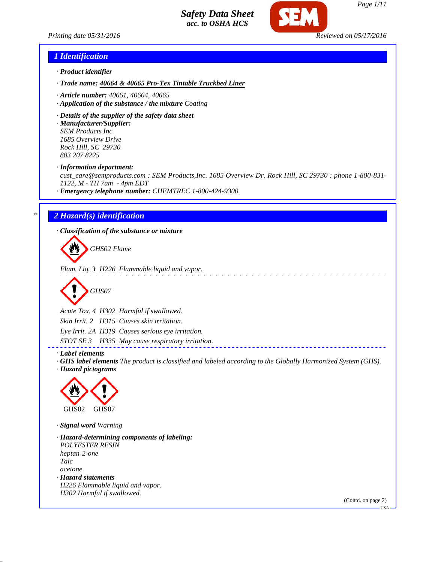

*Printing date 05/31/2016 Reviewed on 05/17/2016*

*Page 1/11*

# *1 Identification*

- *· Product identifier*
- *· Trade name: 40664 & 40665 Pro-Tex Tintable Truckbed Liner*
- *· Article number: 40661, 40664, 40665*
- *· Application of the substance / the mixture Coating*
- *· Details of the supplier of the safety data sheet*

*· Manufacturer/Supplier: SEM Products Inc. 1685 Overview Drive Rock Hill, SC 29730 803 207 8225*

*· Information department:*

*cust\_care@semproducts.com : SEM Products,Inc. 1685 Overview Dr. Rock Hill, SC 29730 : phone 1-800-831- 1122, M - TH 7am - 4pm EDT*

*· Emergency telephone number: CHEMTREC 1-800-424-9300*

# *\* 2 Hazard(s) identification*

*· Classification of the substance or mixture*

*GHS02 Flame*

*Flam. Liq. 3 H226 Flammable liquid and vapor.*

*GHS07*

*Acute Tox. 4 H302 Harmful if swallowed. Skin Irrit. 2 H315 Causes skin irritation. Eye Irrit. 2A H319 Causes serious eye irritation. STOT SE 3 H335 May cause respiratory irritation.*

*· Label elements*

*· GHS label elements The product is classified and labeled according to the Globally Harmonized System (GHS). · Hazard pictograms*



*· Signal word Warning*

*· Hazard-determining components of labeling: POLYESTER RESIN heptan-2-one Talc acetone · Hazard statements H226 Flammable liquid and vapor. H302 Harmful if swallowed.*

(Contd. on page 2)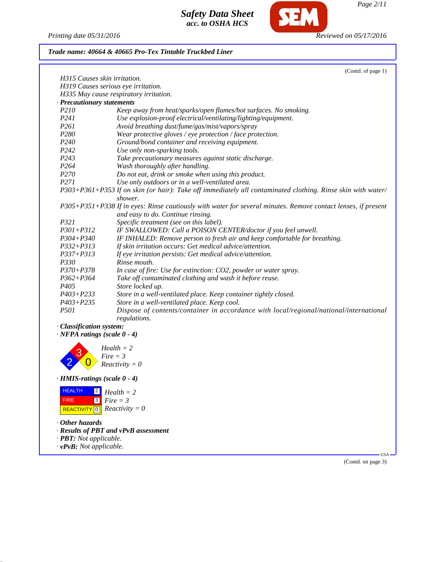*Printing date 05/31/2016 Reviewed on 05/17/2016*

**SEM** 

### *Trade name: 40664 & 40665 Pro-Tex Tintable Truckbed Liner*

|                              | (Contd. of page 1)                                                                                            |
|------------------------------|---------------------------------------------------------------------------------------------------------------|
| H315 Causes skin irritation. |                                                                                                               |
|                              | H319 Causes serious eye irritation.                                                                           |
|                              | H335 May cause respiratory irritation.                                                                        |
| · Precautionary statements   |                                                                                                               |
| P210                         | Keep away from heat/sparks/open flames/hot surfaces. No smoking.                                              |
| P <sub>241</sub>             | Use explosion-proof electrical/ventilating/lighting/equipment.                                                |
| P <sub>261</sub>             | Avoid breathing dust/fume/gas/mist/vapors/spray                                                               |
| P <sub>280</sub>             | Wear protective gloves / eye protection / face protection.                                                    |
| P <sub>240</sub>             | Ground/bond container and receiving equipment.                                                                |
| P <sub>242</sub>             | Use only non-sparking tools.                                                                                  |
| P243                         | Take precautionary measures against static discharge.                                                         |
| P <sub>264</sub>             | Wash thoroughly after handling.                                                                               |
| P <sub>270</sub>             | Do not eat, drink or smoke when using this product.                                                           |
| P271                         | Use only outdoors or in a well-ventilated area.                                                               |
|                              | P303+P361+P353 If on skin (or hair): Take off immediately all contaminated clothing. Rinse skin with water/   |
|                              | shower.                                                                                                       |
|                              | P305+P351+P338 If in eyes: Rinse cautiously with water for several minutes. Remove contact lenses, if present |
|                              | and easy to do. Continue rinsing.                                                                             |
| P321                         | Specific treatment (see on this label).                                                                       |
| $P301 + P312$                | IF SWALLOWED: Call a POISON CENTER/doctor if you feel unwell.                                                 |
| $P304 + P340$                | IF INHALED: Remove person to fresh air and keep comfortable for breathing.                                    |
| $P332 + P313$                | If skin irritation occurs: Get medical advice/attention.                                                      |
| $P337 + P313$                | If eye irritation persists: Get medical advice/attention.                                                     |
| P330                         | Rinse mouth.                                                                                                  |
| $P370 + P378$                | In case of fire: Use for extinction: CO2, powder or water spray.                                              |
| $P362 + P364$                | Take off contaminated clothing and wash it before reuse.                                                      |
| P <sub>405</sub>             | Store locked up.                                                                                              |
| $P403 + P233$                | Store in a well-ventilated place. Keep container tightly closed.                                              |
| $P403 + P235$                | Store in a well-ventilated place. Keep cool.                                                                  |
| <i>P501</i>                  | Dispose of contents/container in accordance with local/regional/national/international<br>regulations.        |

*· Classification system:*

*· NFPA ratings (scale 0 - 4)*

2 3  $\overline{0}$ *Health = 2 Fire = 3 Reactivity = 0*

*· HMIS-ratings (scale 0 - 4)*

 HEALTH FIRE  $\overline{REACTIVITY[0]}$  *Reactivity* = 0  $|2|$ 3 *Fire = 3 Health = 2*

- *· Other hazards*
- *· Results of PBT and vPvB assessment*
- *· PBT: Not applicable.*
- *· vPvB: Not applicable.*

(Contd. on page 3)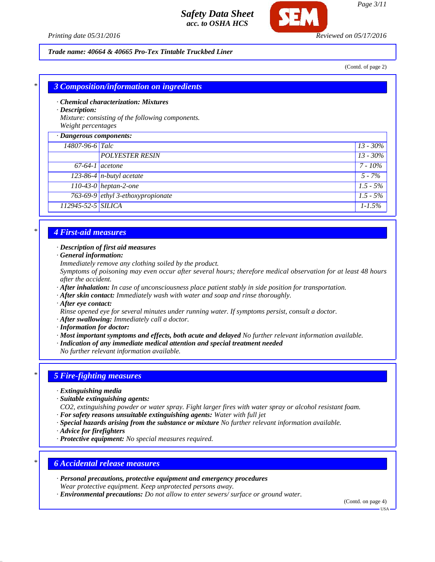



#### *Trade name: 40664 & 40665 Pro-Tex Tintable Truckbed Liner*

(Contd. of page 2)

#### *\* 3 Composition/information on ingredients*

*· Chemical characterization: Mixtures*

*· Description:*

*Mixture: consisting of the following components. Weight percentages*

| $\cdot$ Dangerous components: |                                       |             |
|-------------------------------|---------------------------------------|-------------|
| 14807-96-6 Talc               |                                       | $13 - 30\%$ |
|                               | <b>POLYESTER RESIN</b>                | $13 - 30\%$ |
| $67-64-1$ acetone             |                                       | $7 - 10\%$  |
|                               | $\overline{123-86-4}$ n-butyl acetate | $5 - 7\%$   |
|                               | $110-43-0$ heptan-2-one               | $1.5 - 5\%$ |
|                               | 763-69-9 ethyl 3-ethoxypropionate     | $1.5 - 5\%$ |
| 112945-52-5 SILICA            |                                       | $1 - 1.5\%$ |
|                               |                                       |             |

# *\* 4 First-aid measures*

#### *· Description of first aid measures*

- *· General information:*
- *Immediately remove any clothing soiled by the product.*

*Symptoms of poisoning may even occur after several hours; therefore medical observation for at least 48 hours after the accident.*

- *· After inhalation: In case of unconsciousness place patient stably in side position for transportation.*
- *· After skin contact: Immediately wash with water and soap and rinse thoroughly.*
- *· After eye contact:*

*Rinse opened eye for several minutes under running water. If symptoms persist, consult a doctor.*

- *· After swallowing: Immediately call a doctor.*
- *· Information for doctor:*
- *· Most important symptoms and effects, both acute and delayed No further relevant information available.*
- *· Indication of any immediate medical attention and special treatment needed*
- *No further relevant information available.*

## *\* 5 Fire-fighting measures*

- *· Extinguishing media*
- *· Suitable extinguishing agents:*
- *CO2, extinguishing powder or water spray. Fight larger fires with water spray or alcohol resistant foam.*
- *· For safety reasons unsuitable extinguishing agents: Water with full jet*
- *· Special hazards arising from the substance or mixture No further relevant information available.*
- *· Advice for firefighters*
- *· Protective equipment: No special measures required.*

### *\* 6 Accidental release measures*

- *· Personal precautions, protective equipment and emergency procedures Wear protective equipment. Keep unprotected persons away.*
- *· Environmental precautions: Do not allow to enter sewers/ surface or ground water.*

(Contd. on page 4)

 $-<sub>1</sub>$ ISA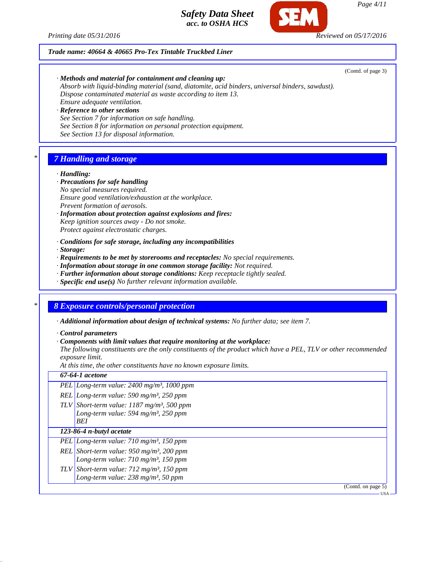*Printing date 05/31/2016 Reviewed on 05/17/2016*

## *Trade name: 40664 & 40665 Pro-Tex Tintable Truckbed Liner*

(Contd. of page 3)

*· Methods and material for containment and cleaning up: Absorb with liquid-binding material (sand, diatomite, acid binders, universal binders, sawdust). Dispose contaminated material as waste according to item 13. Ensure adequate ventilation.*

*· Reference to other sections See Section 7 for information on safe handling. See Section 8 for information on personal protection equipment. See Section 13 for disposal information.*

# *\* 7 Handling and storage*

#### *· Handling:*

#### *· Precautions for safe handling*

- *No special measures required. Ensure good ventilation/exhaustion at the workplace. Prevent formation of aerosols.*
- *· Information about protection against explosions and fires: Keep ignition sources away - Do not smoke. Protect against electrostatic charges.*
- *· Conditions for safe storage, including any incompatibilities*

#### *· Storage:*

- *· Requirements to be met by storerooms and receptacles: No special requirements.*
- *· Information about storage in one common storage facility: Not required.*
- *· Further information about storage conditions: Keep receptacle tightly sealed.*
- *· Specific end use(s) No further relevant information available.*

# *\* 8 Exposure controls/personal protection*

*· Additional information about design of technical systems: No further data; see item 7.*

*· Control parameters*

*· Components with limit values that require monitoring at the workplace:*

*The following constituents are the only constituents of the product which have a PEL, TLV or other recommended exposure limit.*

*At this time, the other constituents have no known exposure limits.*

| 67-64-1 acetone                                                                                                  |
|------------------------------------------------------------------------------------------------------------------|
| PEL Long-term value: $2400$ mg/m <sup>3</sup> , 1000 ppm                                                         |
| REL Long-term value: 590 mg/m <sup>3</sup> , 250 ppm                                                             |
| TLV Short-term value: $1187 \text{ mg/m}^3$ , 500 ppm<br>Long-term value: 594 mg/m <sup>3</sup> , 250 ppm<br>BEI |
| 123-86-4 n-butyl acetate                                                                                         |
| PEL Long-term value: $710 \text{ mg/m}^3$ , 150 ppm                                                              |
| REL Short-term value: $950$ mg/m <sup>3</sup> , 200 ppm<br>Long-term value: $710$ mg/m <sup>3</sup> , 150 ppm    |
| TLV Short-term value: $712 \text{ mg/m}^3$ , 150 ppm<br>Long-term value: $238 \text{ mg/m}^3$ , 50 ppm           |
| (Contd. on page 5)                                                                                               |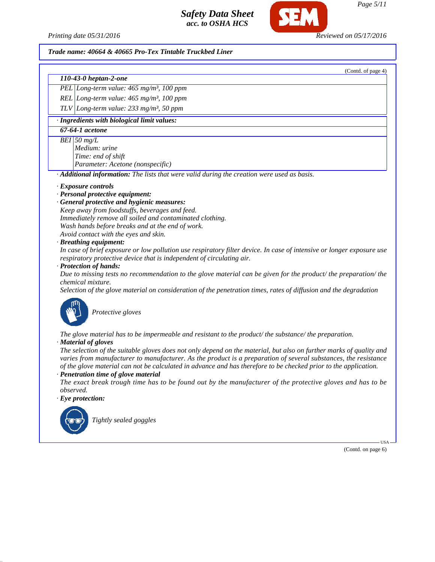*Printing date 05/31/2016 Reviewed on 05/17/2016*

#### *Trade name: 40664 & 40665 Pro-Tex Tintable Truckbed Liner*

*110-43-0 heptan-2-one*

*PEL Long-term value: 465 mg/m³, 100 ppm*

*REL Long-term value: 465 mg/m³, 100 ppm*

*TLV Long-term value: 233 mg/m³, 50 ppm*

*· Ingredients with biological limit values:*

*67-64-1 acetone*

*BEI 50 mg/L*

*Medium: urine Time: end of shift Parameter: Acetone (nonspecific)*

*· Additional information: The lists that were valid during the creation were used as basis.*

#### *· Exposure controls*

#### *· Personal protective equipment:*

#### *· General protective and hygienic measures:*

*Keep away from foodstuffs, beverages and feed. Immediately remove all soiled and contaminated clothing. Wash hands before breaks and at the end of work. Avoid contact with the eyes and skin.*

#### *· Breathing equipment:*

*In case of brief exposure or low pollution use respiratory filter device. In case of intensive or longer exposure use respiratory protective device that is independent of circulating air.*

#### *· Protection of hands:*

*Due to missing tests no recommendation to the glove material can be given for the product/ the preparation/ the chemical mixture.*

*Selection of the glove material on consideration of the penetration times, rates of diffusion and the degradation*



*The glove material has to be impermeable and resistant to the product/ the substance/ the preparation.*

*· Material of gloves*

*The selection of the suitable gloves does not only depend on the material, but also on further marks of quality and varies from manufacturer to manufacturer. As the product is a preparation of several substances, the resistance of the glove material can not be calculated in advance and has therefore to be checked prior to the application. · Penetration time of glove material*

*The exact break trough time has to be found out by the manufacturer of the protective gloves and has to be observed.*

*· Eye protection:*



*Tightly sealed goggles*

(Contd. on page 6)

USA

(Contd. of page 4)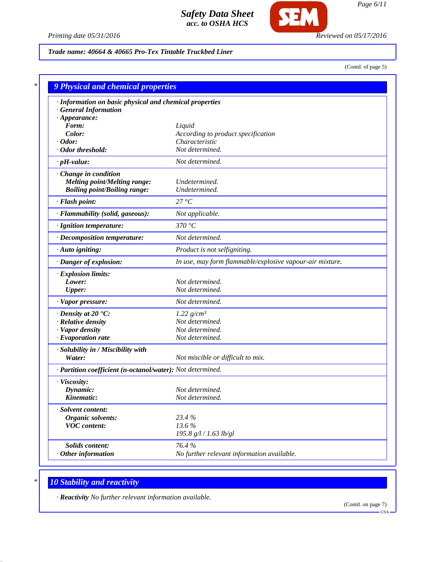

*Printing date 05/31/2016 Reviewed on 05/17/2016*

# *Trade name: 40664 & 40665 Pro-Tex Tintable Truckbed Liner*

(Contd. of page 5)

| · Information on basic physical and chemical properties    |                                                          |
|------------------------------------------------------------|----------------------------------------------------------|
| · General Information                                      |                                                          |
| $\cdot$ Appearance:                                        |                                                          |
| Form:                                                      | Liquid                                                   |
| Color:                                                     | According to product specification                       |
| $\cdot$ Odor:                                              | Characteristic                                           |
| · Odor threshold:                                          | Not determined.                                          |
| $\cdot$ pH-value:                                          | Not determined.                                          |
| Change in condition                                        |                                                          |
| <b>Melting point/Melting range:</b>                        | Undetermined.                                            |
| <b>Boiling point/Boiling range:</b>                        | Undetermined.                                            |
| · Flash point:                                             | 27 °C                                                    |
| · Flammability (solid, gaseous):                           | Not applicable.                                          |
| · Ignition temperature:                                    | 370 °C                                                   |
| · Decomposition temperature:                               | Not determined.                                          |
| · Auto igniting:                                           | Product is not selfigniting.                             |
| · Danger of explosion:                                     | In use, may form flammable/explosive vapour-air mixture. |
| · Explosion limits:                                        |                                                          |
| Lower:                                                     | Not determined.                                          |
| <b>Upper:</b>                                              | Not determined.                                          |
| · Vapor pressure:                                          | Not determined.                                          |
| $\cdot$ Density at 20 $\cdot$ C:                           | $1.22$ g/cm <sup>3</sup>                                 |
| · Relative density                                         | Not determined.                                          |
| · Vapor density                                            | Not determined.                                          |
| $\cdot$ Evaporation rate                                   | Not determined.                                          |
| · Solubility in / Miscibility with                         |                                                          |
| Water:                                                     | Not miscible or difficult to mix.                        |
| · Partition coefficient (n-octanol/water): Not determined. |                                                          |
| · Viscosity:                                               |                                                          |
| Dynamic:                                                   | Not determined.                                          |
| Kinematic:                                                 | Not determined.                                          |
| · Solvent content:                                         |                                                          |
| Organic solvents:                                          | 23.4 %                                                   |
| <b>VOC</b> content:                                        | 13.6%                                                    |
|                                                            | 195.8 g/l / 1.63 lb/gl                                   |
| Solids content:                                            | 76.4%                                                    |
| $·$ Other information                                      | No further relevant information available.               |

# *\* 10 Stability and reactivity*

*· Reactivity No further relevant information available.*

(Contd. on page 7)  $-<sub>USA</sub>$ 

*Page 6/11*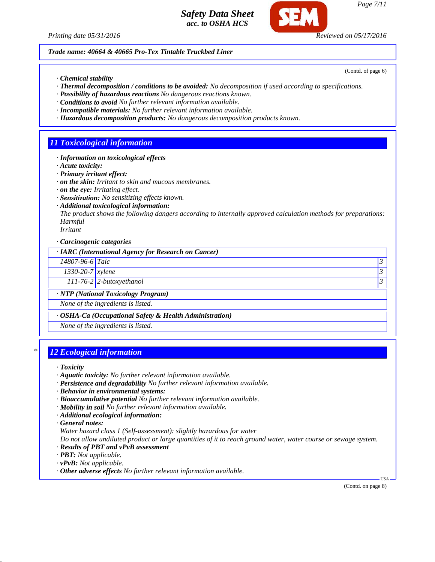

*Trade name: 40664 & 40665 Pro-Tex Tintable Truckbed Liner*

*· Chemical stability*

- *· Thermal decomposition / conditions to be avoided: No decomposition if used according to specifications.*
- *· Possibility of hazardous reactions No dangerous reactions known.*
- *· Conditions to avoid No further relevant information available.*
- *· Incompatible materials: No further relevant information available.*
- *· Hazardous decomposition products: No dangerous decomposition products known.*

# *11 Toxicological information*

*· Information on toxicological effects*

*· Acute toxicity:*

- *· Primary irritant effect:*
- *· on the skin: Irritant to skin and mucous membranes.*
- *· on the eye: Irritating effect.*
- *· Sensitization: No sensitizing effects known.*
- *· Additional toxicological information:*

*The product shows the following dangers according to internally approved calculation methods for preparations: Harmful*

*Irritant*

*· Carcinogenic categories*

*· IARC (International Agency for Research on Cancer)*

*14807-96-6 Talc 3* 

*1330-20-7 xylene 3* 

*111-76-2 2-butoxyethanol 3* 

*· NTP (National Toxicology Program)*

*None of the ingredients is listed.*

*· OSHA-Ca (Occupational Safety & Health Administration)*

*None of the ingredients is listed.*

# *\* 12 Ecological information*

*· Toxicity*

- *· Aquatic toxicity: No further relevant information available.*
- *· Persistence and degradability No further relevant information available.*
- *· Behavior in environmental systems:*
- *· Bioaccumulative potential No further relevant information available.*
- *· Mobility in soil No further relevant information available.*
- *· Additional ecological information:*

*· General notes:*

*Water hazard class 1 (Self-assessment): slightly hazardous for water*

*Do not allow undiluted product or large quantities of it to reach ground water, water course or sewage system.*

- *· Results of PBT and vPvB assessment*
- *· PBT: Not applicable.*
- *· vPvB: Not applicable.*
- *· Other adverse effects No further relevant information available.*

(Contd. on page 8)

USA

(Contd. of page 6)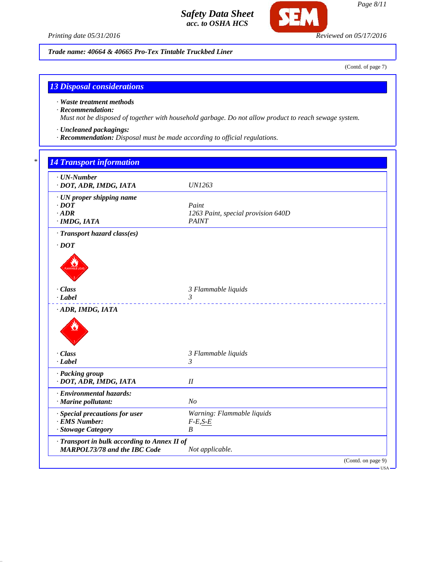*Printing date 05/31/2016 Reviewed on 05/17/2016*

**SEM** 

*Trade name: 40664 & 40665 Pro-Tex Tintable Truckbed Liner*

(Contd. of page 7)

# *13 Disposal considerations*

*· Waste treatment methods*

# *· Recommendation:*

*Must not be disposed of together with household garbage. Do not allow product to reach sewage system.*

- *· Uncleaned packagings:*
- *· Recommendation: Disposal must be made according to official regulations.*

*14 Transport info* 

| $\cdot$ UN-Number<br>· DOT, ADR, IMDG, IATA  | <i>UN1263</i>                      |  |
|----------------------------------------------|------------------------------------|--|
| · UN proper shipping name                    |                                    |  |
| $\cdot$ DOT                                  | Paint                              |  |
| $\cdot$ ADR                                  | 1263 Paint, special provision 640D |  |
| $·$ <i>IMDG, IATA</i>                        | <b>PAINT</b>                       |  |
| · Transport hazard class(es)                 |                                    |  |
| $\cdot$ <i>DOT</i>                           |                                    |  |
|                                              |                                    |  |
|                                              |                                    |  |
|                                              |                                    |  |
| · Class                                      | 3 Flammable liquids                |  |
| $\cdot$ <i>Label</i>                         | 3                                  |  |
| · ADR, IMDG, IATA                            |                                    |  |
|                                              |                                    |  |
| · Class                                      | 3 Flammable liquids                |  |
| $-Label$                                     | 3                                  |  |
| · Packing group                              |                                    |  |
| · DOT, ADR, IMDG, IATA                       | $I\!I$                             |  |
| · Environmental hazards:                     |                                    |  |
| · Marine pollutant:                          | N <sub>O</sub>                     |  |
| · Special precautions for user               | Warning: Flammable liquids         |  |
| · EMS Number:                                | $F-E, S-E$                         |  |
| · Stowage Category                           | B                                  |  |
| · Transport in bulk according to Annex II of |                                    |  |
| <b>MARPOL73/78 and the IBC Code</b>          | Not applicable.                    |  |
|                                              | (Contd. on page 9)                 |  |
|                                              |                                    |  |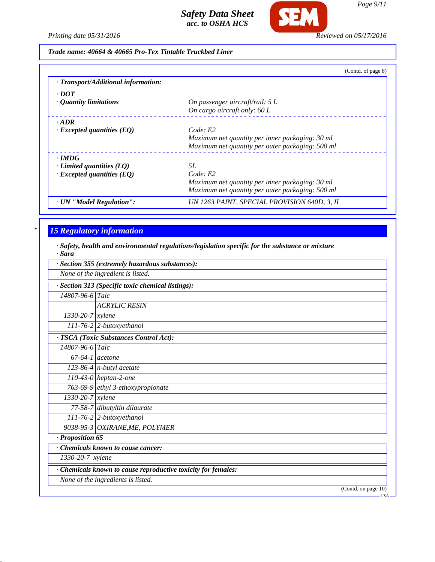

*Page 9/11*

*Printing date 05/31/2016 Reviewed on 05/17/2016*

*Trade name: 40664 & 40665 Pro-Tex Tintable Truckbed Liner*

|                                     | (Contd. of page 8)                               |
|-------------------------------------|--------------------------------------------------|
| · Transport/Additional information: |                                                  |
| $\cdot$ DOT                         |                                                  |
| $\cdot$ Quantity limitations        | On passenger aircraft/rail: $5 L$                |
|                                     | On cargo aircraft only: 60 L                     |
| $\cdot$ ADR                         |                                                  |
| $\cdot$ Excepted quantities (EQ)    | Code: E2                                         |
|                                     | Maximum net quantity per inner packaging: 30 ml  |
|                                     | Maximum net quantity per outer packaging: 500 ml |
| $\cdot$ IMDG                        |                                                  |
| $\cdot$ Limited quantities (LQ)     | 5L                                               |
| $\cdot$ Excepted quantities (EQ)    | Code: E2                                         |
|                                     | Maximum net quantity per inner packaging: 30 ml  |
|                                     | Maximum net quantity per outer packaging: 500 ml |
| · UN "Model Regulation":            | UN 1263 PAINT, SPECIAL PROVISION 640D, 3, II     |

# *\* 15 Regulatory information*

*· Safety, health and environmental regulations/legislation specific for the substance or mixture · Sara*

| vu u                          |                                                             |  |  |
|-------------------------------|-------------------------------------------------------------|--|--|
|                               | · Section 355 (extremely hazardous substances):             |  |  |
|                               | None of the ingredient is listed.                           |  |  |
|                               | · Section 313 (Specific toxic chemical listings):           |  |  |
| 14807-96-6 Talc               |                                                             |  |  |
|                               | <b>ACRYLIC RESIN</b>                                        |  |  |
| 1330-20-7 xylene              |                                                             |  |  |
|                               | 111-76-2 2-butoxyethanol                                    |  |  |
|                               | · TSCA (Toxic Substances Control Act):                      |  |  |
| 14807-96-6 Talc               |                                                             |  |  |
|                               | $67-64-1$ acetone                                           |  |  |
|                               | $\overline{123-86-4}$ n-butyl acetate                       |  |  |
|                               | $110-43-0$ heptan-2-one                                     |  |  |
|                               | 763-69-9 ethyl 3-ethoxypropionate                           |  |  |
| $\sqrt{1330 - 20 - 7}$ xylene |                                                             |  |  |
|                               | 77-58-7 dibutyltin dilaurate                                |  |  |
|                               | $111-76-2$ 2-butoxyethanol                                  |  |  |
|                               | 9038-95-3 OXIRANE, ME, POLYMER                              |  |  |
| · Proposition 65              |                                                             |  |  |
|                               | $\overline{\cdot}$ Chemicals known to cause cancer:         |  |  |
| $1330 - 20 - 7$ <i>xylene</i> |                                                             |  |  |
|                               | Chemicals known to cause reproductive toxicity for females: |  |  |
|                               | None of the ingredients is listed.                          |  |  |
|                               | (Contd. on page 10)                                         |  |  |
|                               | -USA ·                                                      |  |  |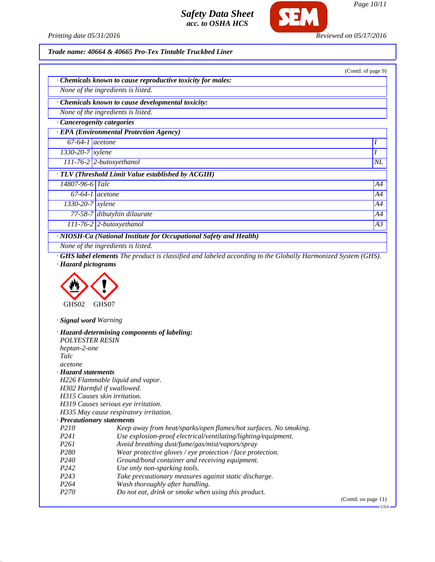

*Printing date 05/31/2016 Reviewed on 05/17/2016*

*Page 10/11*

## *Trade name: 40664 & 40665 Pro-Tex Tintable Truckbed Liner*

|                                                    |                                                                    | (Contd. of page 9) |
|----------------------------------------------------|--------------------------------------------------------------------|--------------------|
|                                                    | Chemicals known to cause reproductive toxicity for males:          |                    |
|                                                    | None of the ingredients is listed.                                 |                    |
|                                                    | Chemicals known to cause developmental toxicity:                   |                    |
|                                                    | None of the ingredients is listed.                                 |                    |
|                                                    | Cancerogenity categories                                           |                    |
|                                                    | · EPA (Environmental Protection Agency)                            |                    |
| $67-64-1$ acetone                                  |                                                                    |                    |
| $1330 - 20 - 7$ xylene                             |                                                                    |                    |
|                                                    | $111-76-2$ 2-butoxyethanol                                         | $N\!L$             |
| · TLV (Threshold Limit Value established by ACGIH) |                                                                    |                    |
| 14807-96-6 Talc                                    |                                                                    | A4                 |
| $67-64-1$ acetone                                  |                                                                    | A4                 |
| $1330 - 20 - 7$ <i>xylene</i>                      |                                                                    | A4                 |
|                                                    | 77-58-7 dibutyltin dilaurate                                       | A4                 |
|                                                    | $111-76-2$ 2-butoxyethanol                                         | A3                 |
|                                                    | · NIOSH-Ca (National Institute for Occupational Safety and Health) |                    |

*None of the ingredients is listed.*

*· GHS label elements The product is classified and labeled according to the Globally Harmonized System (GHS). · Hazard pictograms*



*· Signal word Warning*

|                              | · Hazard-determining components of labeling:                     |         |
|------------------------------|------------------------------------------------------------------|---------|
| <b>POLYESTER RESIN</b>       |                                                                  |         |
| heptan-2-one                 |                                                                  |         |
| Talc                         |                                                                  |         |
| acetone                      |                                                                  |         |
| · Hazard statements          |                                                                  |         |
|                              | H226 Flammable liquid and vapor.                                 |         |
| H302 Harmful if swallowed.   |                                                                  |         |
| H315 Causes skin irritation. |                                                                  |         |
|                              | H319 Causes serious eye irritation.                              |         |
|                              | H335 May cause respiratory irritation.                           |         |
| · Precautionary statements   |                                                                  |         |
| <i>P210</i>                  | Keep away from heat/sparks/open flames/hot surfaces. No smoking. |         |
| P <sub>24</sub> 1            | Use explosion-proof electrical/ventilating/lighting/equipment.   |         |
| P <sub>261</sub>             | Avoid breathing dust/fume/gas/mist/vapors/spray                  |         |
| P <sub>280</sub>             | Wear protective gloves / eye protection / face protection.       |         |
| P <sub>240</sub>             | Ground/bond container and receiving equipment.                   |         |
| P <sub>242</sub>             | Use only non-sparking tools.                                     |         |
| P <sub>243</sub>             | Take precautionary measures against static discharge.            |         |
| P <sub>264</sub>             | Wash thoroughly after handling.                                  |         |
| P <sub>270</sub>             | Do not eat, drink or smoke when using this product.              |         |
|                              |                                                                  | (Contd. |

on page 11)